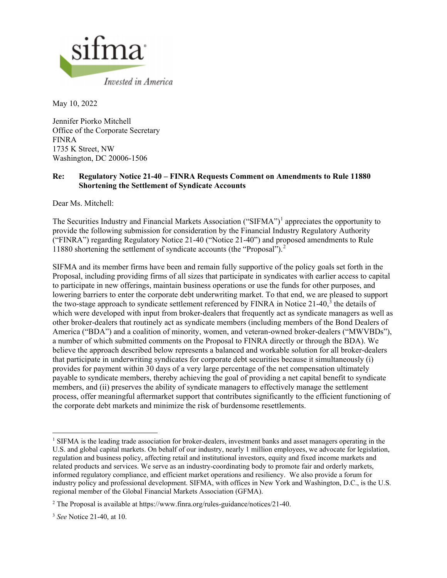

May 10, 2022

Jennifer Piorko Mitchell Office of the Corporate Secretary FINRA 1735 K Street, NW Washington, DC 20006-1506

## **Re: Regulatory Notice 21-40 – FINRA Requests Comment on Amendments to Rule 11880 Shortening the Settlement of Syndicate Accounts**

Dear Ms. Mitchell:

The Securities Industry and Financial Markets Association ("SIFMA")<sup>[1](#page-0-0)</sup> appreciates the opportunity to provide the following submission for consideration by the Financial Industry Regulatory Authority ("FINRA") regarding Regulatory Notice 21-40 ("Notice 21-40") and proposed amendments to Rule 11880 shortening the settlement of syndicate accounts (the "Proposal").[2](#page-0-1)

SIFMA and its member firms have been and remain fully supportive of the policy goals set forth in the Proposal, including providing firms of all sizes that participate in syndicates with earlier access to capital to participate in new offerings, maintain business operations or use the funds for other purposes, and lowering barriers to enter the corporate debt underwriting market. To that end, we are pleased to support the two-stage approach to syndicate settlement referenced by FINRA in Notice  $21-40$ ,<sup>[3](#page-0-2)</sup> the details of which were developed with input from broker-dealers that frequently act as syndicate managers as well as other broker-dealers that routinely act as syndicate members (including members of the Bond Dealers of America ("BDA") and a coalition of minority, women, and veteran-owned broker-dealers ("MWVBDs"), a number of which submitted comments on the Proposal to FINRA directly or through the BDA). We believe the approach described below represents a balanced and workable solution for all broker-dealers that participate in underwriting syndicates for corporate debt securities because it simultaneously (i) provides for payment within 30 days of a very large percentage of the net compensation ultimately payable to syndicate members, thereby achieving the goal of providing a net capital benefit to syndicate members, and (ii) preserves the ability of syndicate managers to effectively manage the settlement process, offer meaningful aftermarket support that contributes significantly to the efficient functioning of the corporate debt markets and minimize the risk of burdensome resettlements.

<span id="page-0-0"></span> $1$  SIFMA is the leading trade association for broker-dealers, investment banks and asset managers operating in the U.S. and global capital markets. On behalf of our industry, nearly 1 million employees, we advocate for legislation, regulation and business policy, affecting retail and institutional investors, equity and fixed income markets and related products and services. We serve as an industry-coordinating body to promote fair and orderly markets, informed regulatory compliance, and efficient market operations and resiliency. We also provide a forum for industry policy and professional development. SIFMA, with offices in New York and Washington, D.C., is the U.S. regional member of the Global Financial Markets Association (GFMA).

<span id="page-0-1"></span><sup>2</sup> The Proposal is available at [https://www.finra.org/rules-guidance/notices/21-40.](https://www.finra.org/rules-guidance/notices/21-40) 

<span id="page-0-2"></span><sup>3</sup> *See* Notice 21-40, at 10.